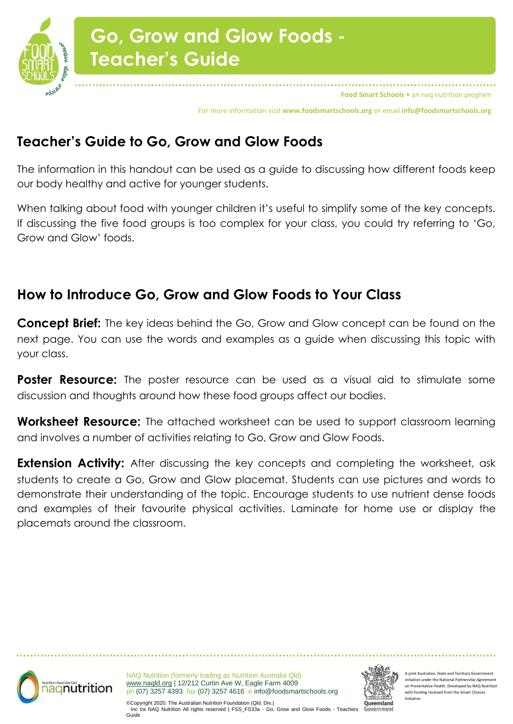

For more information visit **www.foodsmartschools.org** or email **info@foodsmartschools.org**

### **Teacher's Guide to Go, Grow and Glow Foods**

The information in this handout can be used as a guide to discussing how different foods keep our body healthy and active for younger students.

When talking about food with younger children it's useful to simplify some of the key concepts. If discussing the five food groups is too complex for your class, you could try referring to 'Go, Grow and Glow' foods.

#### **How to Introduce Go, Grow and Glow Foods to Your Class**

**Concept Brief:** The key ideas behind the Go, Grow and Glow concept can be found on the next page. You can use the words and examples as a guide when discussing this topic with your class.

**Poster Resource:** The poster resource can be used as a visual aid to stimulate some discussion and thoughts around how these food groups affect our bodies.

**Worksheet Resource:** The attached worksheet can be used to support classroom learning and involves a number of activities relating to Go, Grow and Glow Foods.

**Extension Activity:** After discussing the key concepts and completing the worksheet, ask students to create a Go, Grow and Glow placemat. Students can use pictures and words to demonstrate their understanding of the topic. Encourage students to use nutrient dense foods and examples of their favourite physical activities. Laminate for home use or display the placemats around the classroom.



NAQ Nutrition (formerly trading as Nutrition Australia Qld) [www.naqld.org](http://www.naqld.org/) | 12/212 Curtin Ave W, Eagle Farm 4009 ph (07) 3257 4393 fax (07) 3257 4616 e info@foodsmartschools.org



A joint Australian, State and Territory Government initiative under the National Partnership Agreement on Preventative Health. Developed by NAQ Nutrition with funding received from the Smart Choices Initiative.

©Copyright 2020. The Australian Nutrition Foundation (Qld. Div.) Inc t/a NAQ Nutrition All rights reserved | FSS\_FS33a - Go, Grow and Glow Foods - Teachers Guide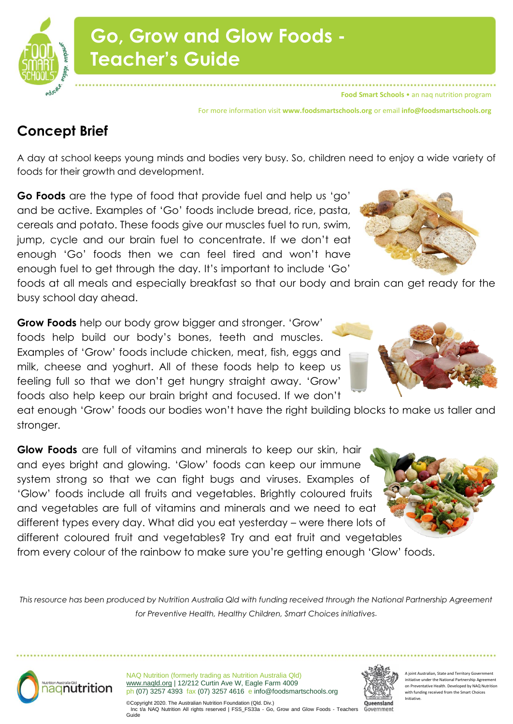

# **Go, Grow and Glow Foods - Teacher's Guide**

**Food Smart Schools** • an naq nutrition program

For more information visit **www.foodsmartschools.org** or email **info@foodsmartschools.org**

### **Concept Brief**

A day at school keeps young minds and bodies very busy. So, children need to enjoy a wide variety of foods for their growth and development.

**Go Foods** are the type of food that provide fuel and help us 'go' and be active. Examples of 'Go' foods include bread, rice, pasta, cereals and potato. These foods give our muscles fuel to run, swim, jump, cycle and our brain fuel to concentrate. If we don't eat enough 'Go' foods then we can feel tired and won't have enough fuel to get through the day. It's important to include 'Go'

foods at all meals and especially breakfast so that our body and brain can get ready for the busy school day ahead.

**Grow Foods** help our body grow bigger and stronger. 'Grow' foods help build our body's bones, teeth and muscles. Examples of 'Grow' foods include chicken, meat, fish, eggs and milk, cheese and yoghurt. All of these foods help to keep us feeling full so that we don't get hungry straight away. 'Grow' foods also help keep our brain bright and focused. If we don't

eat enough 'Grow' foods our bodies won't have the right building blocks to make us taller and stronger.

**Glow Foods** are full of vitamins and minerals to keep our skin, hair and eyes bright and glowing. 'Glow' foods can keep our immune system strong so that we can fight bugs and viruses. Examples of 'Glow' foods include all fruits and vegetables. Brightly coloured fruits and vegetables are full of vitamins and minerals and we need to eat different types every day. What did you eat yesterday – were there lots of different coloured fruit and vegetables? Try and eat fruit and vegetables from every colour of the rainbow to make sure you're getting enough 'Glow' foods.

*This resource has been produced by Nutrition Australia Qld with funding received through the National Partnership Agreement for Preventive Health, Healthy Children, Smart Choices initiatives.*



NAQ Nutrition (formerly trading as Nutrition Australia Qld) [www.naqld.org](http://www.naqld.org/) | 12/212 Curtin Ave W, Eagle Farm 4009 ph (07) 3257 4393 fax (07) 3257 4616 e info@foodsmartschools.org



A joint Australian, State and Territory Government initiative under the National Partnership Agreeme on Preventative Health. Developed by NAO Nutrit with funding received from the Smart Choices Initiative.

©Copyright 2020. The Australian Nutrition Foundation (Qld. Div.) Inc t/a NAQ Nutrition All rights reserved | FSS\_FS33a - Go, Grow and Glow Foods - Teachers Guide